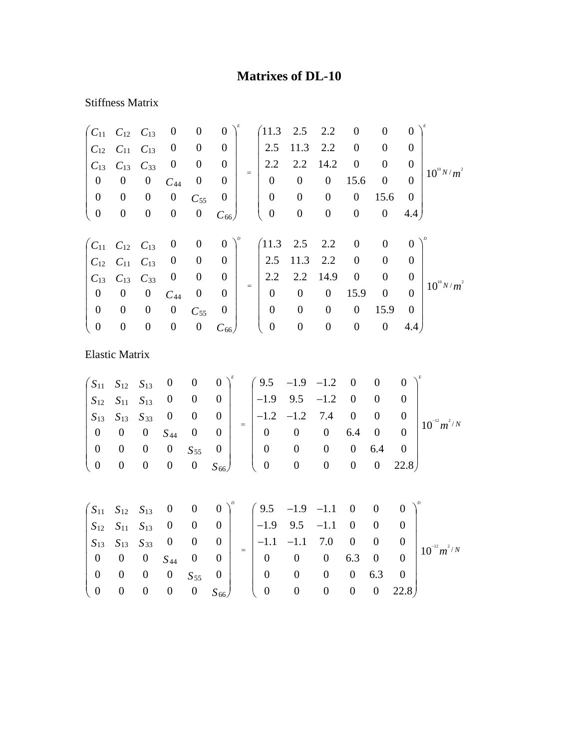## **Matrixes of DL-10**

## Stiffness Matrix

| $C_{11}$              | $C_{12}$         | $C_{13}$         | $\boldsymbol{0}$   | $\boldsymbol{0}$ | $\boldsymbol{0}$ |                   | 11.3             | 2.5              | 2.2              | $\boldsymbol{0}$ | $\overline{0}$   | $\boldsymbol{0}$ |                 |
|-----------------------|------------------|------------------|--------------------|------------------|------------------|-------------------|------------------|------------------|------------------|------------------|------------------|------------------|-----------------|
| $C_{12}$              | $C_{11}$         | $C_{13}$         | $\boldsymbol{0}$   | $\boldsymbol{0}$ | $\boldsymbol{0}$ |                   | 2.5              | 11.3             | 2.2              | $\boldsymbol{0}$ | $\overline{0}$   | $\boldsymbol{0}$ |                 |
| $C_{13}$              | $C_{13}$         | $C_{33}$         | $\boldsymbol{0}$   | $\boldsymbol{0}$ | $\boldsymbol{0}$ |                   | 2.2              | 2.2              | 14.2             | $\boldsymbol{0}$ | $\mathbf{0}$     | $\boldsymbol{0}$ | $10^{10} N/m^2$ |
| $\boldsymbol{0}$      | $\boldsymbol{0}$ | $\boldsymbol{0}$ | $\mathcal{C}_{44}$ | $\boldsymbol{0}$ | $\boldsymbol{0}$ | $\quad =$         | $\boldsymbol{0}$ | $\boldsymbol{0}$ | $\boldsymbol{0}$ | 15.6             | $\boldsymbol{0}$ | $\boldsymbol{0}$ |                 |
| $\boldsymbol{0}$      | $\boldsymbol{0}$ | $\boldsymbol{0}$ | $\boldsymbol{0}$   | $C_{55}$         | $\boldsymbol{0}$ |                   | $\boldsymbol{0}$ | $\boldsymbol{0}$ | $\boldsymbol{0}$ | $\boldsymbol{0}$ | 15.6             | $\boldsymbol{0}$ |                 |
| $\boldsymbol{0}$      | $\boldsymbol{0}$ | $\boldsymbol{0}$ | $\boldsymbol{0}$   | $\boldsymbol{0}$ | $C_{66}$         |                   | $\boldsymbol{0}$ | $\boldsymbol{0}$ | $\boldsymbol{0}$ | $\boldsymbol{0}$ | $\boldsymbol{0}$ | 4.4)             |                 |
| $\mathcal{C}_{11}$    | $C_{12}$         | $C_{13}$         | $\boldsymbol{0}$   | $\boldsymbol{0}$ | $\boldsymbol{0}$ |                   | 11.3             | 2.5              | 2.2              | $\boldsymbol{0}$ | $\overline{0}$   | $\boldsymbol{0}$ |                 |
| $C_{12}$              | $C_{11}$         | $C_{13}$         | $\boldsymbol{0}$   | $\boldsymbol{0}$ | $\boldsymbol{0}$ |                   | 2.5              | 11.3             | 2.2              | $\boldsymbol{0}$ | $\boldsymbol{0}$ | $\boldsymbol{0}$ | $10^{10} N/m^2$ |
| $C_{13}$              | $C_{13}$         | $C_{33}$         | $\boldsymbol{0}$   | $\boldsymbol{0}$ | $\boldsymbol{0}$ |                   | 2.2              | 2.2              | 14.9             | $\boldsymbol{0}$ | $\boldsymbol{0}$ | $\boldsymbol{0}$ |                 |
| $\boldsymbol{0}$      | $\boldsymbol{0}$ | $\boldsymbol{0}$ | $C_{44}$           | $\boldsymbol{0}$ | $\overline{0}$   | $=$               | $\boldsymbol{0}$ | $\boldsymbol{0}$ | $\boldsymbol{0}$ | 15.9             | $\boldsymbol{0}$ | $\boldsymbol{0}$ |                 |
| $\boldsymbol{0}$      | $\boldsymbol{0}$ | $\boldsymbol{0}$ | $\boldsymbol{0}$   | $C_{55}$         | $\boldsymbol{0}$ |                   | $\boldsymbol{0}$ | $\boldsymbol{0}$ | $\boldsymbol{0}$ | $\boldsymbol{0}$ | 15.9             | $\boldsymbol{0}$ |                 |
| $\boldsymbol{0}$      | $\boldsymbol{0}$ | $\boldsymbol{0}$ | $\boldsymbol{0}$   | $\boldsymbol{0}$ | $C_{66}$         |                   | $\boldsymbol{0}$ | $\boldsymbol{0}$ | $\boldsymbol{0}$ | $\boldsymbol{0}$ | $\boldsymbol{0}$ | 4.4 <sub>1</sub> |                 |
| <b>Elastic Matrix</b> |                  |                  |                    |                  |                  |                   |                  |                  |                  |                  |                  |                  |                 |
| $S_{11}$              | $S_{12}$         | $S_{13}$         | $\boldsymbol{0}$   | $\boldsymbol{0}$ | $\boldsymbol{0}$ |                   | 9.5              | $-1.9$           | $-1.2$           | $\boldsymbol{0}$ | $\boldsymbol{0}$ | $\overline{0}$   |                 |
| $S_{12}$              | $S_{11}$         | $S_{13}$         | $\boldsymbol{0}$   | $\boldsymbol{0}$ | $\boldsymbol{0}$ |                   | $-1.9$           | 9.5              | $-1.2$           | $\boldsymbol{0}$ | $\boldsymbol{0}$ | $\boldsymbol{0}$ |                 |
| $S_{13}$              | $S_{13}$         | $S_{33}$         | $\boldsymbol{0}$   | $\boldsymbol{0}$ | $\boldsymbol{0}$ |                   | $-1.2$           | $-1.2$           | 7.4              | $\boldsymbol{0}$ | $\boldsymbol{0}$ | $\boldsymbol{0}$ |                 |
| $\boldsymbol{0}$      | $\boldsymbol{0}$ | $\boldsymbol{0}$ | $S_{44}$           | $\boldsymbol{0}$ | $\boldsymbol{0}$ | $\qquad \qquad =$ | $\boldsymbol{0}$ | $\boldsymbol{0}$ | $\boldsymbol{0}$ | 6.4              | $\boldsymbol{0}$ | $\overline{0}$   | $10^{-12}m^2/N$ |
| $\boldsymbol{0}$      | $\boldsymbol{0}$ | $\boldsymbol{0}$ | $\boldsymbol{0}$   | $S_{55}$         | $\boldsymbol{0}$ |                   | $\boldsymbol{0}$ | $\boldsymbol{0}$ | $\boldsymbol{0}$ | $\boldsymbol{0}$ | 6.4              | $\boldsymbol{0}$ |                 |
| $\boldsymbol{0}$      | $\boldsymbol{0}$ | $\boldsymbol{0}$ | $\boldsymbol{0}$   | $\boldsymbol{0}$ | $S_{66}$         |                   | $\boldsymbol{0}$ | $\boldsymbol{0}$ | $\boldsymbol{0}$ | $\boldsymbol{0}$ | $\boldsymbol{0}$ | 22.8)            |                 |
|                       |                  |                  |                    |                  |                  |                   |                  |                  |                  |                  |                  |                  |                 |

| $\begin{pmatrix} S_{11} & S_{12} & S_{13} & 0 & 0 & 0 \end{pmatrix}^{\nu}$ $\begin{pmatrix} 9.5 & -1.9 & -1.1 & 0 & 0 & 0 \end{pmatrix}^{\nu}$                                                                  |  |
|-----------------------------------------------------------------------------------------------------------------------------------------------------------------------------------------------------------------|--|
| $\begin{array}{ccccccccccccc}\nS_{12} & S_{11} & S_{13} & 0 & 0 & 0\n\end{array}$   -1.9 9.5 -1.1 0 0 0                                                                                                         |  |
| $\begin{vmatrix} S_{13} & S_{13} & S_{33} & 0 & 0 & 0 \end{vmatrix}$ = $\begin{vmatrix} -1.1 & -1.1 & 7.0 & 0 & 0 & 0 \end{vmatrix}$ $\begin{vmatrix} 0 & 0 & 0 & 0 \ 10^{-12} m^2/N & 0 & 0 & 0 \end{vmatrix}$ |  |
| $0 \t 0 \t 0 \t S_{44} \t 0 \t 0'$<br>$0 \t 0 \t 0 \t 6.3 \t 0 \t 0$                                                                                                                                            |  |
| $\begin{array}{cccc} 0 & 0 & 0 & 0 & S_{55} \end{array}$<br>$0\qquad 0$<br>$0 \t 0 \t 6.3 \t 0$<br>0 <sup>1</sup>                                                                                               |  |
| $(0 \t 0 \t 0 \t 0 \t 0 \t 5_{66})$ $(0 \t 0 \t 0 \t 0 \t 0 \t 22.8)$                                                                                                                                           |  |